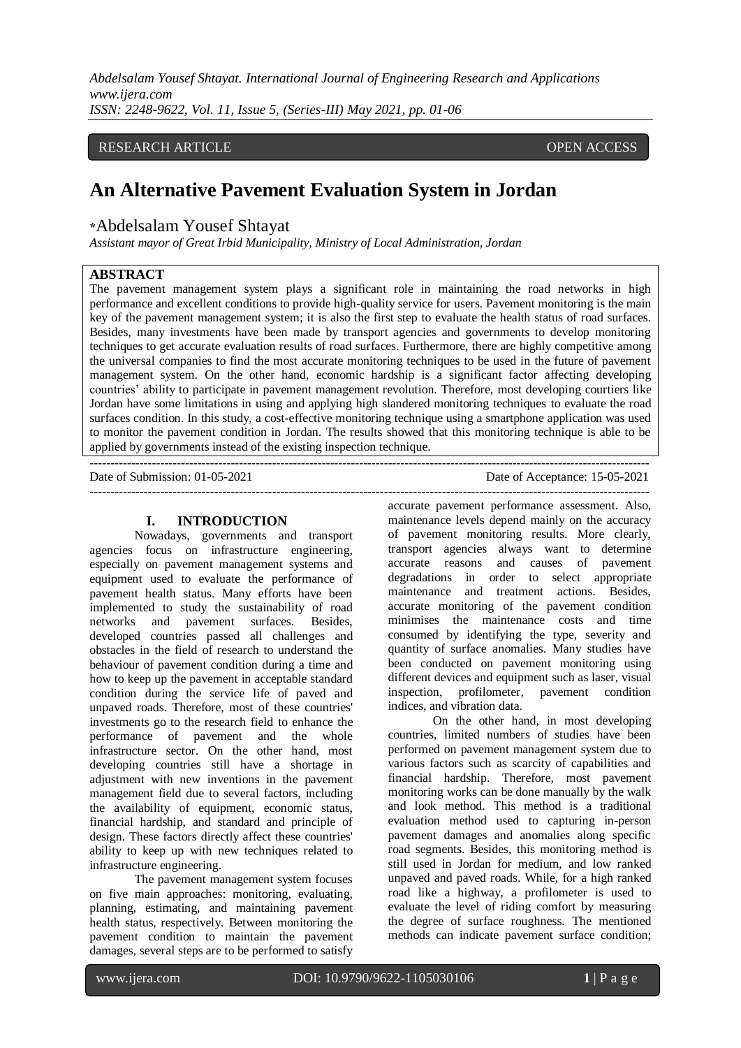*Abdelsalam Yousef Shtayat. International Journal of Engineering Research and Applications www.ijera.com ISSN: 2248-9622, Vol. 11, Issue 5, (Series-III) May 2021, pp. 01-06*

#### RESEARCH ARTICLE **CONSERVERS** OPEN ACCESS

## **An Alternative Pavement Evaluation System in Jordan**

#### **\***Abdelsalam Yousef Shtayat

*Assistant mayor of Great Irbid Municipality, Ministry of Local Administration, Jordan*

#### **ABSTRACT**

The pavement management system plays a significant role in maintaining the road networks in high performance and excellent conditions to provide high-quality service for users. Pavement monitoring is the main key of the pavement management system; it is also the first step to evaluate the health status of road surfaces. Besides, many investments have been made by transport agencies and governments to develop monitoring techniques to get accurate evaluation results of road surfaces. Furthermore, there are highly competitive among the universal companies to find the most accurate monitoring techniques to be used in the future of pavement management system. On the other hand, economic hardship is a significant factor affecting developing countries' ability to participate in pavement management revolution. Therefore, most developing courtiers like Jordan have some limitations in using and applying high slandered monitoring techniques to evaluate the road surfaces condition. In this study, a cost-effective monitoring technique using a smartphone application was used to monitor the pavement condition in Jordan. The results showed that this monitoring technique is able to be applied by governments instead of the existing inspection technique.

---------------------------------------------------------------------------------------------------------------------------------------

# **I. INTRODUCTION**

Nowadays, governments and transport agencies focus on infrastructure engineering, especially on pavement management systems and equipment used to evaluate the performance of pavement health status. Many efforts have been implemented to study the sustainability of road networks and pavement surfaces. Besides, developed countries passed all challenges and obstacles in the field of research to understand the behaviour of pavement condition during a time and how to keep up the pavement in acceptable standard condition during the service life of paved and unpaved roads. Therefore, most of these countries' investments go to the research field to enhance the performance of pavement and the whole infrastructure sector. On the other hand, most developing countries still have a shortage in adjustment with new inventions in the pavement management field due to several factors, including the availability of equipment, economic status, financial hardship, and standard and principle of design. These factors directly affect these countries' ability to keep up with new techniques related to infrastructure engineering.

The pavement management system focuses on five main approaches: monitoring, evaluating, planning, estimating, and maintaining pavement health status, respectively. Between monitoring the pavement condition to maintain the pavement damages, several steps are to be performed to satisfy Date of Acceptance: 15-05-2021

accurate pavement performance assessment. Also, maintenance levels depend mainly on the accuracy of pavement monitoring results. More clearly, transport agencies always want to determine accurate reasons and causes of pavement degradations in order to select appropriate maintenance and treatment actions. Besides, accurate monitoring of the pavement condition minimises the maintenance costs and time consumed by identifying the type, severity and quantity of surface anomalies. Many studies have been conducted on pavement monitoring using different devices and equipment such as laser, visual inspection, profilometer, pavement condition indices, and vibration data.

On the other hand, in most developing countries, limited numbers of studies have been performed on pavement management system due to various factors such as scarcity of capabilities and financial hardship. Therefore, most pavement monitoring works can be done manually by the walk and look method. This method is a traditional evaluation method used to capturing in-person pavement damages and anomalies along specific road segments. Besides, this monitoring method is still used in Jordan for medium, and low ranked unpaved and paved roads. While, for a high ranked road like a highway, a profilometer is used to evaluate the level of riding comfort by measuring the degree of surface roughness. The mentioned methods can indicate pavement surface condition;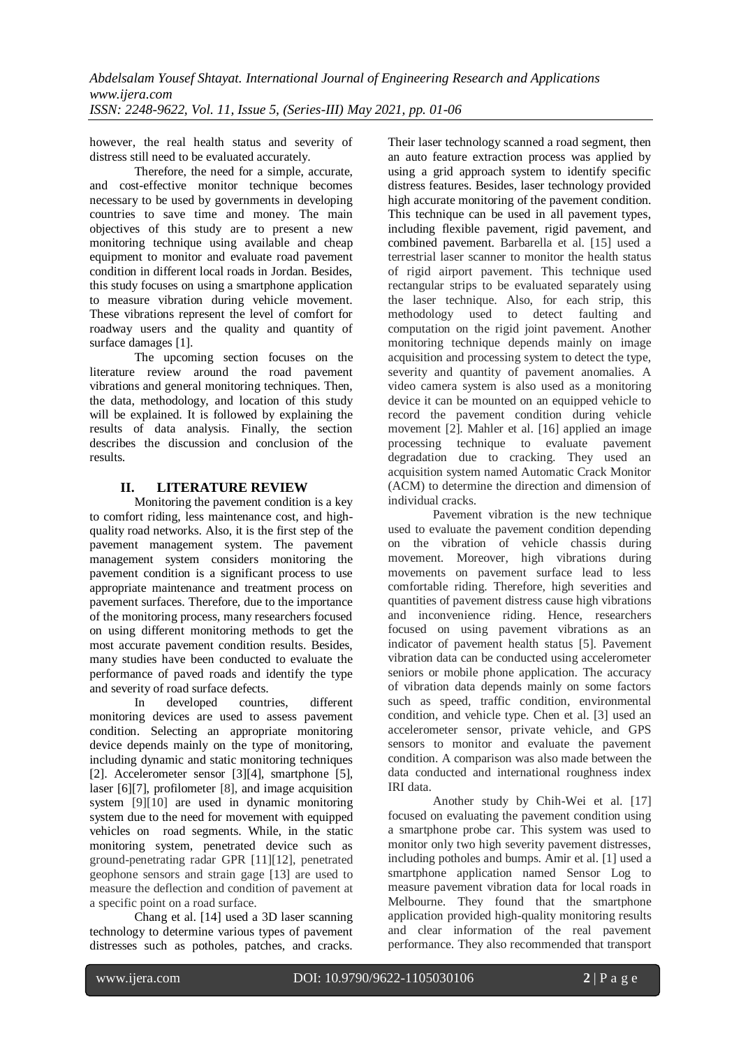however, the real health status and severity of distress still need to be evaluated accurately.

Therefore, the need for a simple, accurate, and cost-effective monitor technique becomes necessary to be used by governments in developing countries to save time and money. The main objectives of this study are to present a new monitoring technique using available and cheap equipment to monitor and evaluate road pavement condition in different local roads in Jordan. Besides, this study focuses on using a smartphone application to measure vibration during vehicle movement. These vibrations represent the level of comfort for roadway users and the quality and quantity of surface damages [1].

The upcoming section focuses on the literature review around the road pavement vibrations and general monitoring techniques. Then, the data, methodology, and location of this study will be explained. It is followed by explaining the results of data analysis. Finally, the section describes the discussion and conclusion of the results.

#### **II. LITERATURE REVIEW**

Monitoring the pavement condition is a key to comfort riding, less maintenance cost, and highquality road networks. Also, it is the first step of the pavement management system. The pavement management system considers monitoring the pavement condition is a significant process to use appropriate maintenance and treatment process on pavement surfaces. Therefore, due to the importance of the monitoring process, many researchers focused on using different monitoring methods to get the most accurate pavement condition results. Besides, many studies have been conducted to evaluate the performance of paved roads and identify the type and severity of road surface defects.

In developed countries, different monitoring devices are used to assess pavement condition. Selecting an appropriate monitoring device depends mainly on the type of monitoring, including dynamic and static monitoring techniques [2]. Accelerometer sensor [3][4], smartphone [5], laser [6][7], profilometer [8], and image acquisition system [9][10] are used in dynamic monitoring system due to the need for movement with equipped vehicles on road segments. While, in the static monitoring system, penetrated device such as ground-penetrating radar GPR [11][12], penetrated geophone sensors and strain gage [13] are used to measure the deflection and condition of pavement at a specific point on a road surface.

Chang et al. [14] used a 3D laser scanning technology to determine various types of pavement distresses such as potholes, patches, and cracks.

Their laser technology scanned a road segment, then an auto feature extraction process was applied by using a grid approach system to identify specific distress features. Besides, laser technology provided high accurate monitoring of the pavement condition. This technique can be used in all pavement types. including flexible pavement, rigid pavement, and combined pavement. Barbarella et al. [15] used a terrestrial laser scanner to monitor the health status of rigid airport pavement. This technique used rectangular strips to be evaluated separately using the laser technique. Also, for each strip, this methodology used to detect faulting and computation on the rigid joint pavement. Another monitoring technique depends mainly on image acquisition and processing system to detect the type, severity and quantity of pavement anomalies. A video camera system is also used as a monitoring device it can be mounted on an equipped vehicle to record the pavement condition during vehicle movement [2]. Mahler et al. [16] applied an image processing technique to evaluate pavement degradation due to cracking. They used an acquisition system named Automatic Crack Monitor (ACM) to determine the direction and dimension of individual cracks.

Pavement vibration is the new technique used to evaluate the pavement condition depending on the vibration of vehicle chassis during movement. Moreover, high vibrations during movements on pavement surface lead to less comfortable riding. Therefore, high severities and quantities of pavement distress cause high vibrations and inconvenience riding. Hence, researchers focused on using pavement vibrations as an indicator of pavement health status [5]. Pavement vibration data can be conducted using accelerometer seniors or mobile phone application. The accuracy of vibration data depends mainly on some factors such as speed, traffic condition, environmental condition, and vehicle type. Chen et al. [3] used an accelerometer sensor, private vehicle, and GPS sensors to monitor and evaluate the pavement condition. A comparison was also made between the data conducted and international roughness index IRI data.

Another study by Chih-Wei et al. [17] focused on evaluating the pavement condition using a smartphone probe car. This system was used to monitor only two high severity pavement distresses, including potholes and bumps. Amir et al. [1] used a smartphone application named Sensor Log to measure pavement vibration data for local roads in Melbourne. They found that the smartphone application provided high-quality monitoring results and clear information of the real pavement performance. They also recommended that transport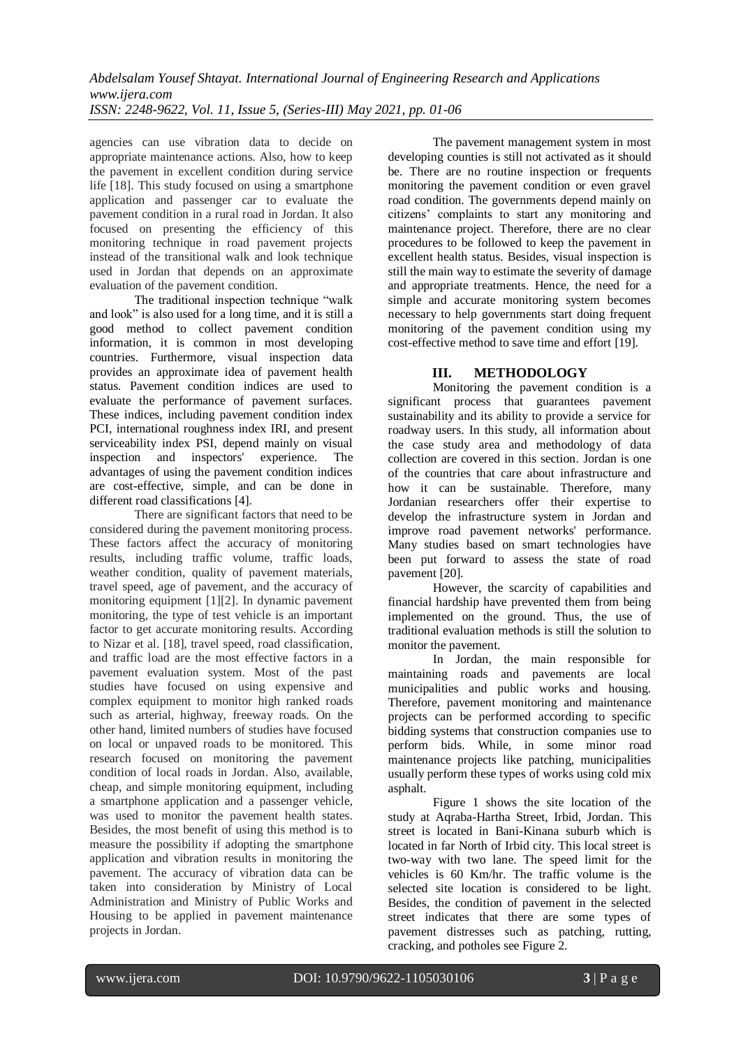agencies can use vibration data to decide on appropriate maintenance actions. Also, how to keep the pavement in excellent condition during service life [18]. This study focused on using a smartphone application and passenger car to evaluate the pavement condition in a rural road in Jordan. It also focused on presenting the efficiency of this monitoring technique in road pavement projects instead of the transitional walk and look technique used in Jordan that depends on an approximate evaluation of the pavement condition.

The traditional inspection technique "walk and look" is also used for a long time, and it is still a good method to collect pavement condition information, it is common in most developing countries. Furthermore, visual inspection data provides an approximate idea of pavement health status. Pavement condition indices are used to evaluate the performance of pavement surfaces. These indices, including pavement condition index PCI, international roughness index IRI, and present serviceability index PSI, depend mainly on visual inspection and inspectors' experience. The advantages of using the pavement condition indices are cost-effective, simple, and can be done in different road classifications [4].

There are significant factors that need to be considered during the pavement monitoring process. These factors affect the accuracy of monitoring results, including traffic volume, traffic loads, weather condition, quality of pavement materials, travel speed, age of pavement, and the accuracy of monitoring equipment [1][2]. In dynamic pavement monitoring, the type of test vehicle is an important factor to get accurate monitoring results. According to Nizar et al. [18], travel speed, road classification, and traffic load are the most effective factors in a pavement evaluation system. Most of the past studies have focused on using expensive and complex equipment to monitor high ranked roads such as arterial, highway, freeway roads. On the other hand, limited numbers of studies have focused on local or unpaved roads to be monitored. This research focused on monitoring the pavement condition of local roads in Jordan. Also, available, cheap, and simple monitoring equipment, including a smartphone application and a passenger vehicle. was used to monitor the pavement health states. Besides, the most benefit of using this method is to measure the possibility if adopting the smartphone application and vibration results in monitoring the pavement. The accuracy of vibration data can be taken into consideration by Ministry of Local Administration and Ministry of Public Works and Housing to be applied in pavement maintenance projects in Jordan.

The pavement management system in most developing counties is still not activated as it should be. There are no routine inspection or frequents monitoring the pavement condition or even gravel road condition. The governments depend mainly on citizens' complaints to start any monitoring and maintenance project. Therefore, there are no clear procedures to be followed to keep the pavement in excellent health status. Besides, visual inspection is still the main way to estimate the severity of damage and appropriate treatments. Hence, the need for a simple and accurate monitoring system becomes necessary to help governments start doing frequent monitoring of the pavement condition using my cost-effective method to save time and effort [19].

### **III. METHODOLOGY**

Monitoring the pavement condition is a significant process that guarantees pavement sustainability and its ability to provide a service for roadway users. In this study, all information about the case study area and methodology of data collection are covered in this section. Jordan is one of the countries that care about infrastructure and how it can be sustainable. Therefore, many Jordanian researchers offer their expertise to develop the infrastructure system in Jordan and improve road pavement networks' performance. Many studies based on smart technologies have been put forward to assess the state of road pavement [20].

However, the scarcity of capabilities and financial hardship have prevented them from being implemented on the ground. Thus, the use of traditional evaluation methods is still the solution to monitor the pavement.

In Jordan, the main responsible for maintaining roads and pavements are local municipalities and public works and housing. Therefore, pavement monitoring and maintenance projects can be performed according to specific bidding systems that construction companies use to perform bids. While, in some minor road maintenance projects like patching, municipalities usually perform these types of works using cold mix asphalt.

Figure 1 shows the site location of the study at Aqraba-Hartha Street, Irbid, Jordan. This street is located in Bani-Kinana suburb which is located in far North of Irbid city. This local street is two-way with two lane. The speed limit for the vehicles is 60 Km/hr. The traffic volume is the selected site location is considered to be light. Besides, the condition of pavement in the selected street indicates that there are some types of pavement distresses such as patching, rutting, cracking, and potholes see Figure 2.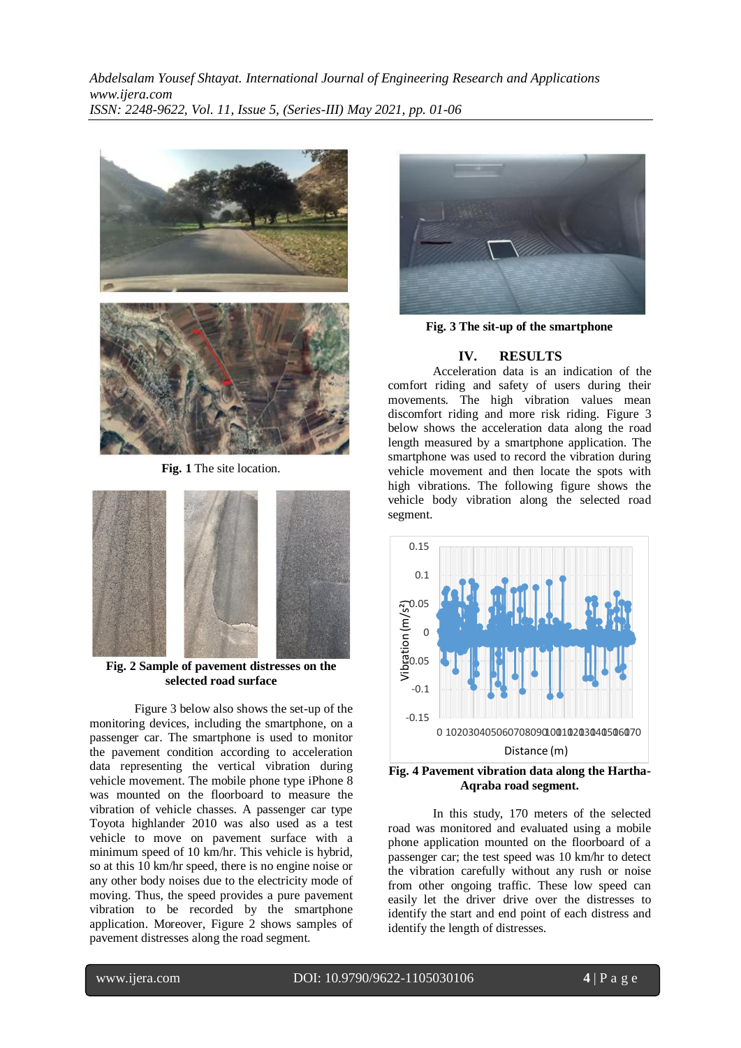

**Fig. 1** The site location.



**Fig. 2 Sample of pavement distresses on the selected road surface**

Figure 3 below also shows the set-up of the monitoring devices, including the smartphone, on a passenger car. The smartphone is used to monitor the pavement condition according to acceleration data representing the vertical vibration during vehicle movement. The mobile phone type iPhone 8 was mounted on the floorboard to measure the vibration of vehicle chasses. A passenger car type Toyota highlander 2010 was also used as a test vehicle to move on pavement surface with a minimum speed of 10 km/hr. This vehicle is hybrid, so at this 10 km/hr speed, there is no engine noise or any other body noises due to the electricity mode of moving. Thus, the speed provides a pure pavement vibration to be recorded by the smartphone application. Moreover, Figure 2 shows samples of pavement distresses along the road segment.



**Fig. 3 The sit-up of the smartphone**

#### **IV. RESULTS**

Acceleration data is an indication of the comfort riding and safety of users during their movements. The high vibration values mean discomfort riding and more risk riding. Figure 3 below shows the acceleration data along the road length measured by a smartphone application. The smartphone was used to record the vibration during vehicle movement and then locate the spots with high vibrations. The following figure shows the vehicle body vibration along the selected road segment.



**Fig. 4 Pavement vibration data along the Hartha-Aqraba road segment.**

In this study, 170 meters of the selected road was monitored and evaluated using a mobile phone application mounted on the floorboard of a passenger car; the test speed was 10 km/hr to detect the vibration carefully without any rush or noise from other ongoing traffic. These low speed can easily let the driver drive over the distresses to identify the start and end point of each distress and identify the length of distresses.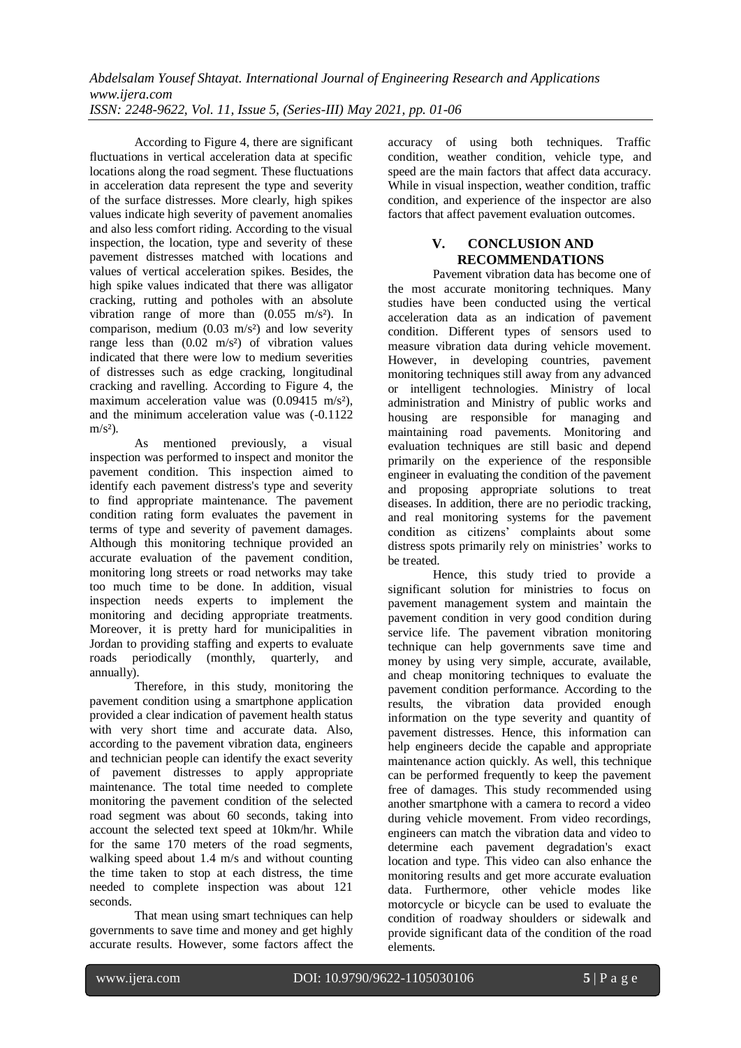*Abdelsalam Yousef Shtayat. International Journal of Engineering Research and Applications www.ijera.com ISSN: 2248-9622, Vol. 11, Issue 5, (Series-III) May 2021, pp. 01-06*

According to Figure 4, there are significant fluctuations in vertical acceleration data at specific locations along the road segment. These fluctuations in acceleration data represent the type and severity of the surface distresses. More clearly, high spikes values indicate high severity of pavement anomalies and also less comfort riding. According to the visual inspection, the location, type and severity of these pavement distresses matched with locations and values of vertical acceleration spikes. Besides, the high spike values indicated that there was alligator cracking, rutting and potholes with an absolute vibration range of more than  $(0.055 \text{ m/s}^2)$ . In comparison, medium  $(0.03 \text{ m/s}^2)$  and low severity range less than  $(0.02 \text{ m/s}^2)$  of vibration values indicated that there were low to medium severities of distresses such as edge cracking, longitudinal cracking and ravelling. According to Figure 4, the maximum acceleration value was  $(0.09415 \text{ m/s}^2)$ , and the minimum acceleration value was (-0.1122  $m/s<sup>2</sup>$ ).

As mentioned previously, a visual inspection was performed to inspect and monitor the pavement condition. This inspection aimed to identify each pavement distress's type and severity to find appropriate maintenance. The pavement condition rating form evaluates the pavement in terms of type and severity of pavement damages. Although this monitoring technique provided an accurate evaluation of the pavement condition, monitoring long streets or road networks may take too much time to be done. In addition, visual inspection needs experts to implement the monitoring and deciding appropriate treatments. Moreover, it is pretty hard for municipalities in Jordan to providing staffing and experts to evaluate roads periodically (monthly, quarterly, and annually).

Therefore, in this study, monitoring the pavement condition using a smartphone application provided a clear indication of pavement health status with very short time and accurate data. Also, according to the pavement vibration data, engineers and technician people can identify the exact severity of pavement distresses to apply appropriate maintenance. The total time needed to complete monitoring the pavement condition of the selected road segment was about 60 seconds, taking into account the selected text speed at 10km/hr. While for the same 170 meters of the road segments, walking speed about 1.4 m/s and without counting the time taken to stop at each distress, the time needed to complete inspection was about 121 seconds.

That mean using smart techniques can help governments to save time and money and get highly accurate results. However, some factors affect the accuracy of using both techniques. Traffic condition, weather condition, vehicle type, and speed are the main factors that affect data accuracy. While in visual inspection, weather condition, traffic condition, and experience of the inspector are also factors that affect pavement evaluation outcomes.

#### **V. CONCLUSION AND RECOMMENDATIONS**

Pavement vibration data has become one of the most accurate monitoring techniques. Many studies have been conducted using the vertical acceleration data as an indication of pavement condition. Different types of sensors used to measure vibration data during vehicle movement. However, in developing countries, pavement monitoring techniques still away from any advanced or intelligent technologies. Ministry of local administration and Ministry of public works and housing are responsible for managing and maintaining road pavements. Monitoring and evaluation techniques are still basic and depend primarily on the experience of the responsible engineer in evaluating the condition of the pavement and proposing appropriate solutions to treat diseases. In addition, there are no periodic tracking, and real monitoring systems for the pavement condition as citizens' complaints about some distress spots primarily rely on ministries' works to be treated.

Hence, this study tried to provide a significant solution for ministries to focus on pavement management system and maintain the pavement condition in very good condition during service life. The pavement vibration monitoring technique can help governments save time and money by using very simple, accurate, available, and cheap monitoring techniques to evaluate the pavement condition performance. According to the results, the vibration data provided enough information on the type severity and quantity of pavement distresses. Hence, this information can help engineers decide the capable and appropriate maintenance action quickly. As well, this technique can be performed frequently to keep the pavement free of damages. This study recommended using another smartphone with a camera to record a video during vehicle movement. From video recordings, engineers can match the vibration data and video to determine each pavement degradation's exact location and type. This video can also enhance the monitoring results and get more accurate evaluation data. Furthermore, other vehicle modes like motorcycle or bicycle can be used to evaluate the condition of roadway shoulders or sidewalk and provide significant data of the condition of the road elements.